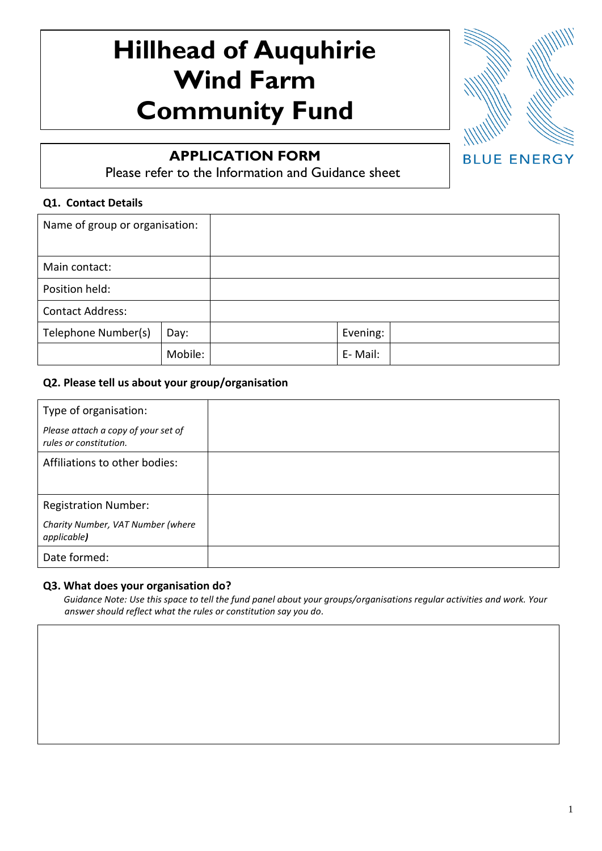# **Hillhead of Auquhirie Wind Farm Community Fund**



## **APPLICATION FORM**

Please refer to the Information and Guidance sheet

#### $\overline{a}$ **Q1. Contact Details**

| Name of group or organisation: |  |          |  |
|--------------------------------|--|----------|--|
| Main contact:                  |  |          |  |
| Position held:                 |  |          |  |
| <b>Contact Address:</b>        |  |          |  |
| Telephone Number(s)<br>Day:    |  | Evening: |  |
| Mobile:                        |  | E-Mail:  |  |

#### **Q2. Please tell us about your group/organisation**

| Type of organisation:                                         |  |
|---------------------------------------------------------------|--|
| Please attach a copy of your set of<br>rules or constitution. |  |
| Affiliations to other bodies:                                 |  |
|                                                               |  |
| <b>Registration Number:</b>                                   |  |
| Charity Number, VAT Number (where<br>applicable)              |  |
| Date formed:                                                  |  |

#### **Q3. What does your organisation do?**

 *Guidance Note: Use this space to tell the fund panel about your groups/organisations regular activities and work. Your answer should reflect what the rules or constitution say you do.*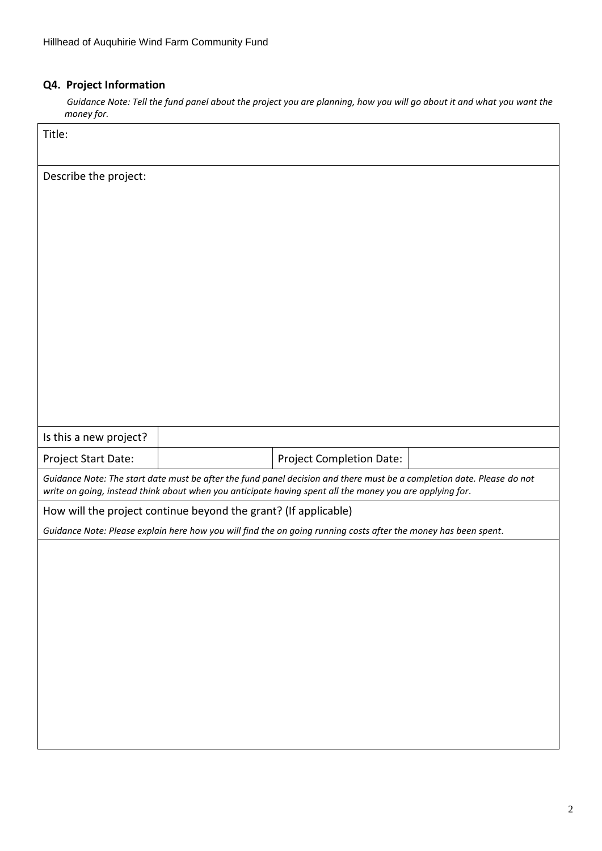## **Q4. Project Information**

 *Guidance Note: Tell the fund panel about the project you are planning, how you will go about it and what you want the money for.*

| Title:                                                          |                                                                                                                                                                                                                                    |  |
|-----------------------------------------------------------------|------------------------------------------------------------------------------------------------------------------------------------------------------------------------------------------------------------------------------------|--|
| Describe the project:                                           |                                                                                                                                                                                                                                    |  |
| Is this a new project?                                          |                                                                                                                                                                                                                                    |  |
| Project Start Date:                                             | <b>Project Completion Date:</b>                                                                                                                                                                                                    |  |
|                                                                 | Guidance Note: The start date must be after the fund panel decision and there must be a completion date. Please do not<br>write on going, instead think about when you anticipate having spent all the money you are applying for. |  |
| How will the project continue beyond the grant? (If applicable) |                                                                                                                                                                                                                                    |  |
|                                                                 | Guidance Note: Please explain here how you will find the on going running costs after the money has been spent.                                                                                                                    |  |
|                                                                 |                                                                                                                                                                                                                                    |  |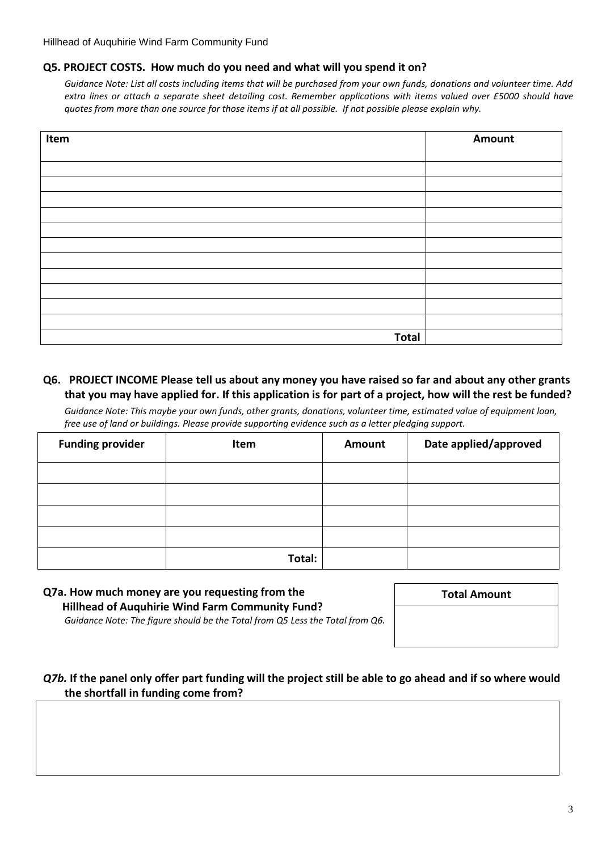#### **Q5. PROJECT COSTS. How much do you need and what will you spend it on?**

*Guidance Note: List all costs including items that will be purchased from your own funds, donations and volunteer time. Add extra lines or attach a separate sheet detailing cost. Remember applications with items valued over £5000 should have quotes from more than one source for those items if at all possible. If not possible please explain why.* 

| Item         | Amount |
|--------------|--------|
|              |        |
|              |        |
|              |        |
|              |        |
|              |        |
|              |        |
|              |        |
|              |        |
|              |        |
|              |        |
|              |        |
|              |        |
| <b>Total</b> |        |

#### **Q6. PROJECT INCOME Please tell us about any money you have raised so far and about any other grants that you may have applied for. If this application is for part of a project, how will the rest be funded?**

*Guidance Note: This maybe your own funds, other grants, donations, volunteer time, estimated value of equipment loan, free use of land or buildings. Please provide supporting evidence such as a letter pledging support.*

| <b>Funding provider</b> | Item   | Amount | Date applied/approved |
|-------------------------|--------|--------|-----------------------|
|                         |        |        |                       |
|                         |        |        |                       |
|                         |        |        |                       |
|                         |        |        |                       |
|                         | Total: |        |                       |

## **Q7a. How much money are you requesting from the Hillhead of Auquhirie Wind Farm Community Fund?**

**Total Amount**

*Guidance Note: The figure should be the Total from Q5 Less the Total from Q6.*

#### *Q7b.* **If the panel only offer part funding will the project still be able to go ahead and if so where would the shortfall in funding come from?**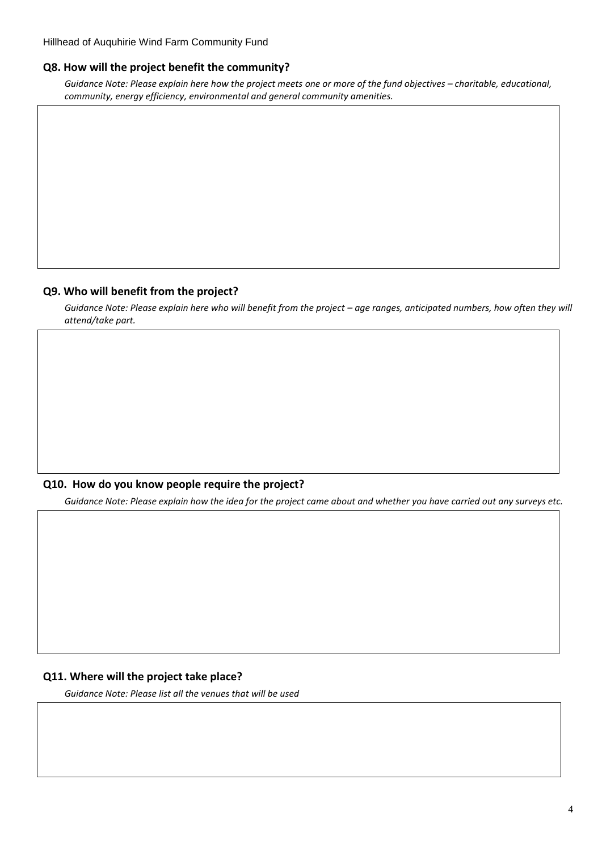#### **Q8. How will the project benefit the community?**

*Guidance Note: Please explain here how the project meets one or more of the fund objectives – charitable, educational, community, energy efficiency, environmental and general community amenities.*

#### **Q9. Who will benefit from the project?**

*Guidance Note: Please explain here who will benefit from the project – age ranges, anticipated numbers, how often they will attend/take part.*

#### **Q10. How do you know people require the project?**

*Guidance Note: Please explain how the idea for the project came about and whether you have carried out any surveys etc.*

#### **Q11. Where will the project take place?**

*Guidance Note: Please list all the venues that will be used*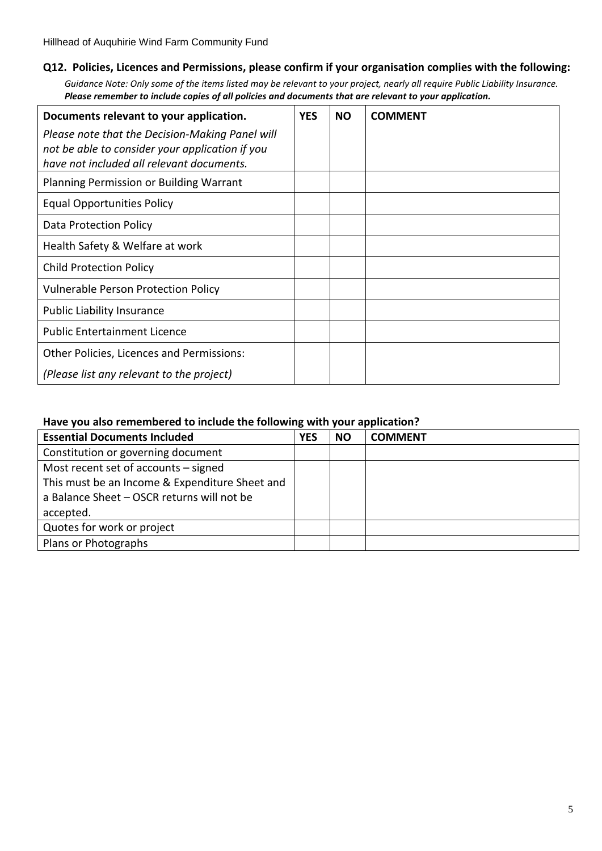#### **Q12. Policies, Licences and Permissions, please confirm if your organisation complies with the following:**

*Guidance Note: Only some of the items listed may be relevant to your project, nearly all require Public Liability Insurance. Please remember to include copies of all policies and documents that are relevant to your application.* 

| Documents relevant to your application.         | <b>YES</b> | <b>NO</b> | <b>COMMENT</b> |
|-------------------------------------------------|------------|-----------|----------------|
| Please note that the Decision-Making Panel will |            |           |                |
| not be able to consider your application if you |            |           |                |
| have not included all relevant documents.       |            |           |                |
| <b>Planning Permission or Building Warrant</b>  |            |           |                |
| <b>Equal Opportunities Policy</b>               |            |           |                |
| Data Protection Policy                          |            |           |                |
| Health Safety & Welfare at work                 |            |           |                |
| <b>Child Protection Policy</b>                  |            |           |                |
| <b>Vulnerable Person Protection Policy</b>      |            |           |                |
| <b>Public Liability Insurance</b>               |            |           |                |
| <b>Public Entertainment Licence</b>             |            |           |                |
| Other Policies, Licences and Permissions:       |            |           |                |
| (Please list any relevant to the project)       |            |           |                |

#### **Have you also remembered to include the following with your application?**

| <b>Essential Documents Included</b>            | <b>YES</b> | <b>NO</b> | <b>COMMENT</b> |
|------------------------------------------------|------------|-----------|----------------|
| Constitution or governing document             |            |           |                |
| Most recent set of accounts – signed           |            |           |                |
| This must be an Income & Expenditure Sheet and |            |           |                |
| a Balance Sheet - OSCR returns will not be     |            |           |                |
| accepted.                                      |            |           |                |
| Quotes for work or project                     |            |           |                |
| Plans or Photographs                           |            |           |                |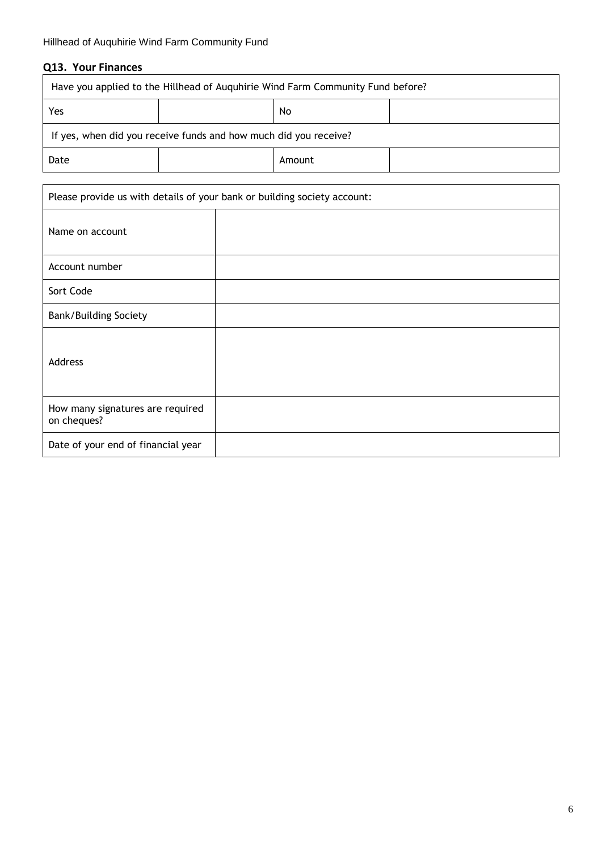## **Q13. Your Finances**

| Have you applied to the Hillhead of Auguhirie Wind Farm Community Fund before? |  |  |  |  |  |
|--------------------------------------------------------------------------------|--|--|--|--|--|
| Yes<br>No.                                                                     |  |  |  |  |  |
| If yes, when did you receive funds and how much did you receive?               |  |  |  |  |  |
| Date<br>Amount                                                                 |  |  |  |  |  |

| Please provide us with details of your bank or building society account: |  |  |  |
|--------------------------------------------------------------------------|--|--|--|
| Name on account                                                          |  |  |  |
| Account number                                                           |  |  |  |
| Sort Code                                                                |  |  |  |
| <b>Bank/Building Society</b>                                             |  |  |  |
| Address                                                                  |  |  |  |
| How many signatures are required<br>on cheques?                          |  |  |  |
| Date of your end of financial year                                       |  |  |  |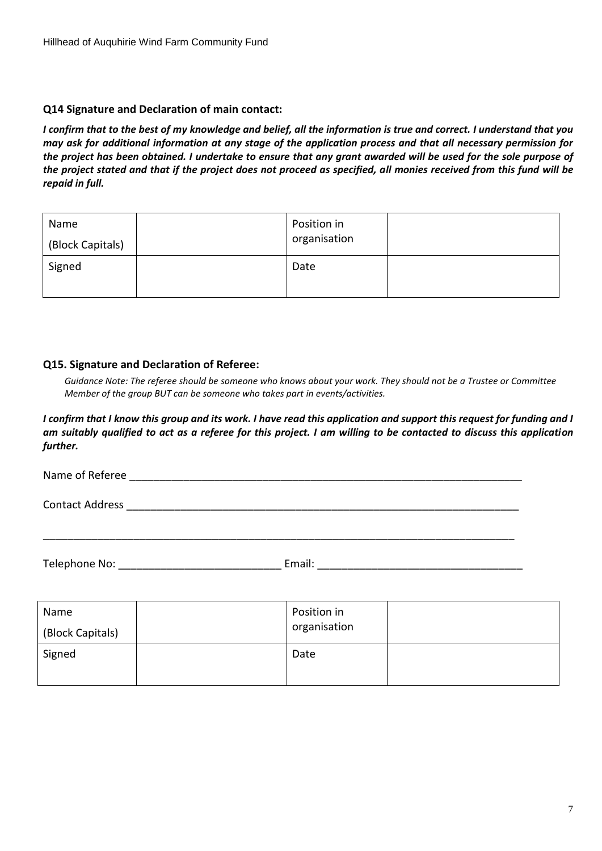#### **Q14 Signature and Declaration of main contact:**

*I confirm that to the best of my knowledge and belief, all the information is true and correct. I understand that you may ask for additional information at any stage of the application process and that all necessary permission for the project has been obtained. I undertake to ensure that any grant awarded will be used for the sole purpose of the project stated and that if the project does not proceed as specified, all monies received from this fund will be repaid in full.*

| Name<br>(Block Capitals) | Position in<br>organisation |  |
|--------------------------|-----------------------------|--|
| Signed                   | Date                        |  |

#### **Q15. Signature and Declaration of Referee:**

*Guidance Note: The referee should be someone who knows about your work. They should not be a Trustee or Committee Member of the group BUT can be someone who takes part in events/activities.*

*I confirm that I know this group and its work. I have read this application and support this request for funding and I am suitably qualified to act as a referee for this project. I am willing to be contacted to discuss this application further.*

| Name of Referee        |        |
|------------------------|--------|
| <b>Contact Address</b> |        |
|                        |        |
| Telephone No:          | Email: |

| Name<br>(Block Capitals) | Position in<br>organisation |  |
|--------------------------|-----------------------------|--|
| Signed                   | Date                        |  |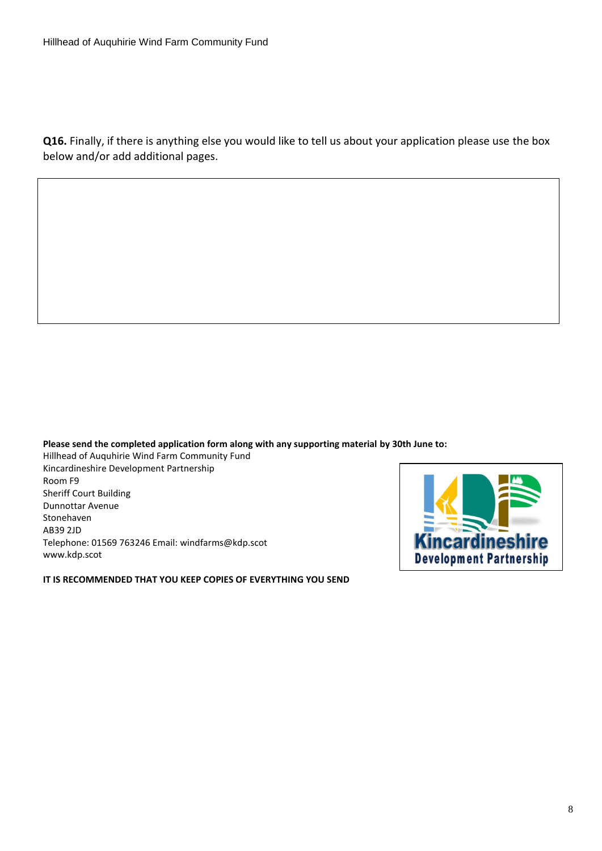**Q16.** Finally, if there is anything else you would like to tell us about your application please use the box below and/or add additional pages.

**Please send the completed application form along with any supporting material by 30th June to:**

Hillhead of Auquhirie Wind Farm Community Fund Kincardineshire Development Partnership Room F9 Sheriff Court Building Dunnottar Avenue Stonehaven AB39 2JD Telephone: 01569 763246 Email: windfarms@kdp.scot www.kdp.scot

**IT IS RECOMMENDED THAT YOU KEEP COPIES OF EVERYTHING YOU SEND**